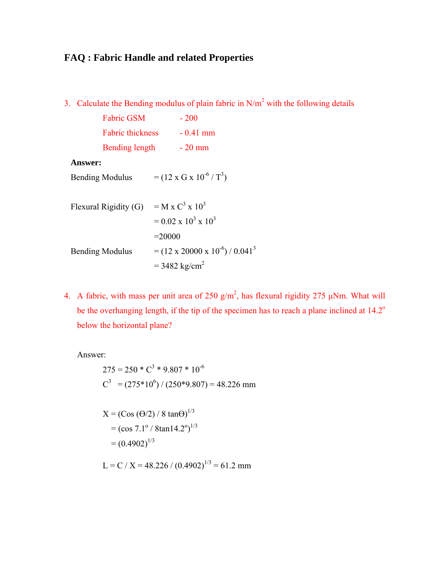# **FAQ : Fabric Handle and related Properties**

3. Calculate the Bending modulus of plain fabric in  $N/m^2$  with the following details

| <b>Fabric GSM</b>       | $-200$     |
|-------------------------|------------|
| <b>Fabric thickness</b> | $-0.41$ mm |
| Bending length          | - 20 mm    |

### **Answer:**

Bending Modulus  $= (12 \times G \times 10^{-6} / T^3)$ 

| Flexural Rigidity (G)  | $=$ M x C <sup>3</sup> x 10 <sup>3</sup>                  |
|------------------------|-----------------------------------------------------------|
|                        | $= 0.02 \times 10^3 \times 10^3$                          |
|                        | $= 20000$                                                 |
| <b>Bending Modulus</b> | $=$ (12 x 20000 x 10 <sup>-6</sup> ) / 0.041 <sup>3</sup> |
|                        | $= 3482$ kg/cm <sup>2</sup>                               |

4. A fabric, with mass per unit area of 250  $g/m^2$ , has flexural rigidity 275  $\mu$ Nm. What will be the overhanging length, if the tip of the specimen has to reach a plane inclined at  $14.2^\circ$ below the horizontal plane?

Answer:

$$
275 = 250 \cdot C^3 \cdot 9.807 \cdot 10^{-6}
$$
  

$$
C^3 = (275 \cdot 10^6) / (250 \cdot 9.807) = 48.226
$$
 mm

$$
X = (\cos (\Theta/2) / 8 \tan \Theta)^{1/3}
$$
  
=  $(\cos 7.1^{\circ} / 8 \tan 14.2^{\circ})^{1/3}$   
=  $(0.4902)^{1/3}$ 

 $L = C / X = 48.226 / (0.4902)^{1/3} = 61.2$  mm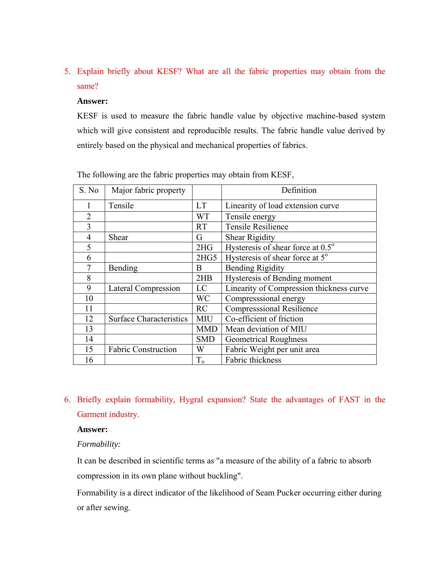5. Explain briefly about KESF? What are all the fabric properties may obtain from the same?

#### **Answer:**

KESF is used to measure the fabric handle value by objective machine-based system which will give consistent and reproducible results. The fabric handle value derived by entirely based on the physical and mechanical properties of fabrics.

| S. No          | Major fabric property          |            | Definition                                  |  |  |
|----------------|--------------------------------|------------|---------------------------------------------|--|--|
|                | Tensile                        | <b>LT</b>  | Linearity of load extension curve           |  |  |
| $\mathfrak{D}$ |                                | <b>WT</b>  | Tensile energy                              |  |  |
| 3              |                                | <b>RT</b>  | <b>Tensile Resilience</b>                   |  |  |
| 4              | Shear                          | G          | <b>Shear Rigidity</b>                       |  |  |
| 5              |                                | 2HG        | Hysteresis of shear force at 0.5°           |  |  |
| 6              |                                | 2HG5       | Hysteresis of shear force at 5 <sup>°</sup> |  |  |
| 7              | Bending                        | B          | <b>Bending Rigidity</b>                     |  |  |
| 8              |                                | 2HB        | Hysteresis of Bending moment                |  |  |
| 9              | <b>Lateral Compression</b>     | LC         | Linearity of Compression thickness curve    |  |  |
| 10             |                                | <b>WC</b>  | Compresssional energy                       |  |  |
| 11             |                                | RC         | <b>Compresssional Resilience</b>            |  |  |
| 12             | <b>Surface Characteristics</b> | MIU        | Co-efficient of friction                    |  |  |
| 13             |                                | <b>MMD</b> | Mean deviation of MIU                       |  |  |
| 14             |                                | <b>SMD</b> | <b>Geometrical Roughness</b>                |  |  |
| 15             | <b>Fabric Construction</b>     | W          | Fabric Weight per unit area                 |  |  |
| 16             |                                | $T_{o}$    | Fabric thickness                            |  |  |

| The following are the fabric properties may obtain from KESF, |  |  |
|---------------------------------------------------------------|--|--|
|                                                               |  |  |

6. Briefly explain formability, Hygral expansion? State the advantages of FAST in the Garment industry.

#### **Answer:**

#### *Formability:*

It can be described in scientific terms as "a measure of the ability of a fabric to absorb compression in its own plane without buckling".

Formability is a direct indicator of the likelihood of Seam Pucker occurring either during or after sewing.